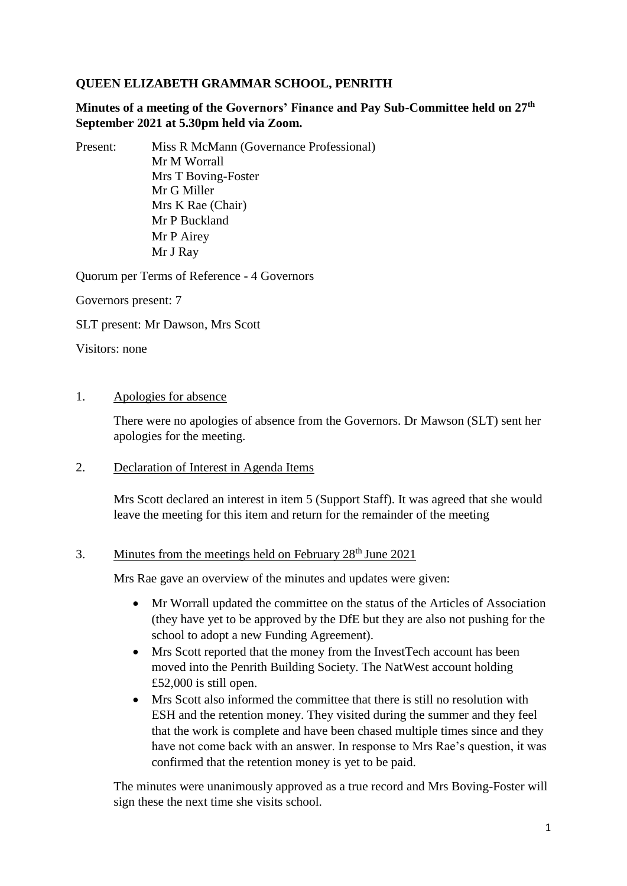# **QUEEN ELIZABETH GRAMMAR SCHOOL, PENRITH**

**Minutes of a meeting of the Governors' Finance and Pay Sub-Committee held on 27th September 2021 at 5.30pm held via Zoom.**

Present: Miss R McMann (Governance Professional) Mr M Worrall Mrs T Boving-Foster Mr G Miller Mrs K Rae (Chair) Mr P Buckland Mr P Airey Mr J Ray

Quorum per Terms of Reference - 4 Governors

Governors present: 7

SLT present: Mr Dawson, Mrs Scott

Visitors: none

1. Apologies for absence

There were no apologies of absence from the Governors. Dr Mawson (SLT) sent her apologies for the meeting.

#### 2. Declaration of Interest in Agenda Items

Mrs Scott declared an interest in item 5 (Support Staff). It was agreed that she would leave the meeting for this item and return for the remainder of the meeting

#### 3. Minutes from the meetings held on February  $28<sup>th</sup>$  June 2021

Mrs Rae gave an overview of the minutes and updates were given:

- Mr Worrall updated the committee on the status of the Articles of Association (they have yet to be approved by the DfE but they are also not pushing for the school to adopt a new Funding Agreement).
- Mrs Scott reported that the money from the InvestTech account has been moved into the Penrith Building Society. The NatWest account holding £52,000 is still open.
- Mrs Scott also informed the committee that there is still no resolution with ESH and the retention money. They visited during the summer and they feel that the work is complete and have been chased multiple times since and they have not come back with an answer. In response to Mrs Rae's question, it was confirmed that the retention money is yet to be paid.

The minutes were unanimously approved as a true record and Mrs Boving-Foster will sign these the next time she visits school.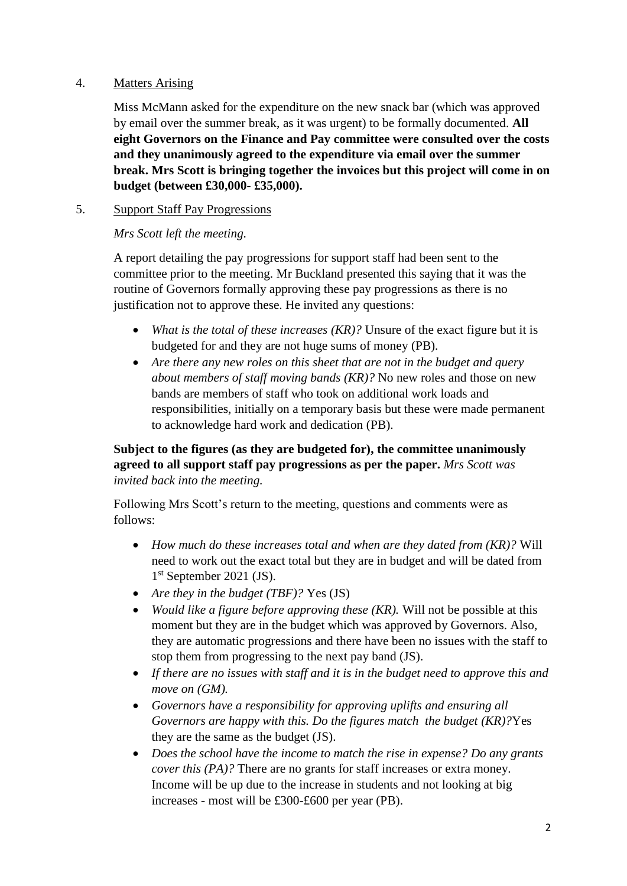### 4. Matters Arising

Miss McMann asked for the expenditure on the new snack bar (which was approved by email over the summer break, as it was urgent) to be formally documented. **All eight Governors on the Finance and Pay committee were consulted over the costs and they unanimously agreed to the expenditure via email over the summer break. Mrs Scott is bringing together the invoices but this project will come in on budget (between £30,000- £35,000).**

## 5. Support Staff Pay Progressions

#### *Mrs Scott left the meeting.*

A report detailing the pay progressions for support staff had been sent to the committee prior to the meeting. Mr Buckland presented this saying that it was the routine of Governors formally approving these pay progressions as there is no justification not to approve these. He invited any questions:

- *What is the total of these increases (KR)?* Unsure of the exact figure but it is budgeted for and they are not huge sums of money (PB).
- Are there any new roles on this sheet that are not in the budget and query *about members of staff moving bands (KR)?* No new roles and those on new bands are members of staff who took on additional work loads and responsibilities, initially on a temporary basis but these were made permanent to acknowledge hard work and dedication (PB).

## **Subject to the figures (as they are budgeted for), the committee unanimously agreed to all support staff pay progressions as per the paper.** *Mrs Scott was invited back into the meeting.*

Following Mrs Scott's return to the meeting, questions and comments were as follows:

- *How much do these increases total and when are they dated from (KR)?* Will need to work out the exact total but they are in budget and will be dated from 1 st September 2021 (JS).
- *Are they in the budget (TBF)?* Yes (JS)
- *Would like a figure before approving these (KR).* Will not be possible at this moment but they are in the budget which was approved by Governors. Also, they are automatic progressions and there have been no issues with the staff to stop them from progressing to the next pay band (JS).
- *If there are no issues with staff and it is in the budget need to approve this and move on (GM).*
- *Governors have a responsibility for approving uplifts and ensuring all Governors are happy with this. Do the figures match the budget (KR)?*Yes they are the same as the budget (JS).
- *Does the school have the income to match the rise in expense? Do any grants cover this (PA)?* There are no grants for staff increases or extra money. Income will be up due to the increase in students and not looking at big increases - most will be £300-£600 per year (PB).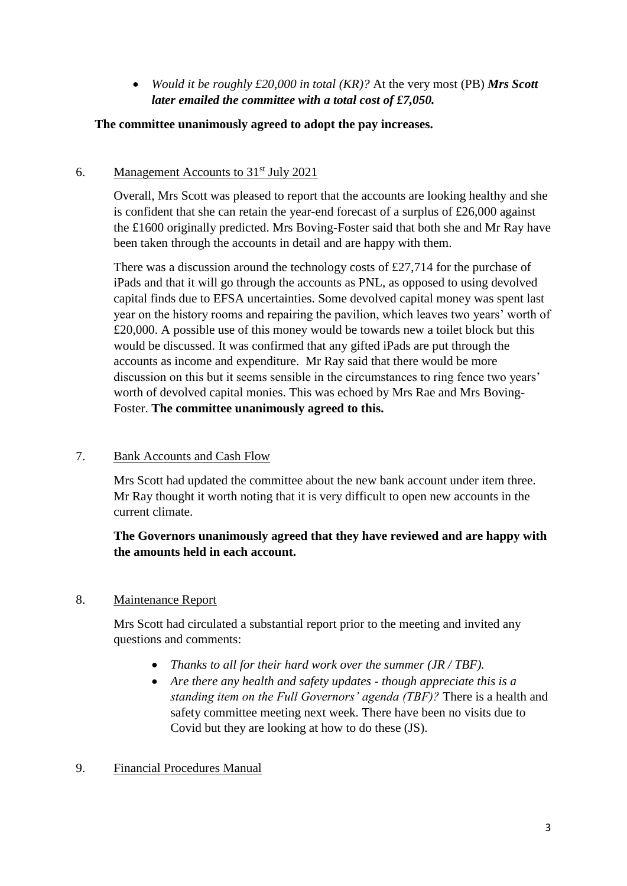*Would it be roughly £20,000 in total (KR)?* At the very most (PB) *Mrs Scott later emailed the committee with a total cost of £7,050.*

## **The committee unanimously agreed to adopt the pay increases.**

# 6. Management Accounts to  $31<sup>st</sup>$  July 2021

Overall, Mrs Scott was pleased to report that the accounts are looking healthy and she is confident that she can retain the year-end forecast of a surplus of £26,000 against the £1600 originally predicted. Mrs Boving-Foster said that both she and Mr Ray have been taken through the accounts in detail and are happy with them.

There was a discussion around the technology costs of £27,714 for the purchase of iPads and that it will go through the accounts as PNL, as opposed to using devolved capital finds due to EFSA uncertainties. Some devolved capital money was spent last year on the history rooms and repairing the pavilion, which leaves two years' worth of £20,000. A possible use of this money would be towards new a toilet block but this would be discussed. It was confirmed that any gifted iPads are put through the accounts as income and expenditure. Mr Ray said that there would be more discussion on this but it seems sensible in the circumstances to ring fence two years' worth of devolved capital monies. This was echoed by Mrs Rae and Mrs Boving-Foster. **The committee unanimously agreed to this.**

## 7. Bank Accounts and Cash Flow

Mrs Scott had updated the committee about the new bank account under item three. Mr Ray thought it worth noting that it is very difficult to open new accounts in the current climate.

# **The Governors unanimously agreed that they have reviewed and are happy with the amounts held in each account.**

# 8. Maintenance Report

Mrs Scott had circulated a substantial report prior to the meeting and invited any questions and comments:

- *Thanks to all for their hard work over the summer (JR / TBF).*
- *Are there any health and safety updates - though appreciate this is a standing item on the Full Governors' agenda (TBF)?* There is a health and safety committee meeting next week. There have been no visits due to Covid but they are looking at how to do these (JS).

## 9. Financial Procedures Manual